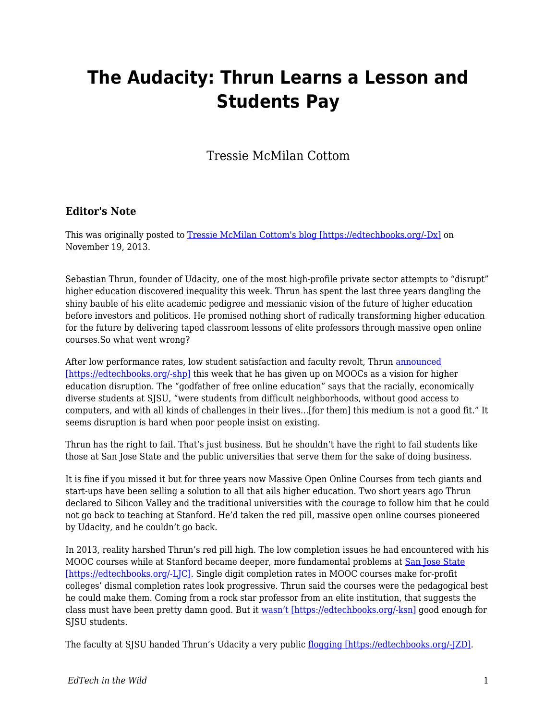## **The Audacity: Thrun Learns a Lesson and Students Pay**

Tressie McMilan Cottom

## **Editor's Note**

This was originally posted to [Tressie McMilan Cottom's blog \[https://edtechbooks.org/-Dx\]](https://tressiemc.com/uncategorized/the-audacity-thrun-learns-a-lesson-and-students-pay/) on November 19, 2013.

Sebastian Thrun, founder of Udacity, one of the most high-profile private sector attempts to "disrupt" higher education discovered inequality this week. Thrun has spent the last three years dangling the shiny bauble of his elite academic pedigree and messianic vision of the future of higher education before investors and politicos. He promised nothing short of radically transforming higher education for the future by delivering taped classroom lessons of elite professors through massive open online courses.So what went wrong?

After low performance rates, low student satisfaction and faculty revolt, Thrun [announced](http://www.fastcompany.com/3021473/udacity-sebastian-thrun-uphill-climb) [\[https://edtechbooks.org/-shp\]](http://www.fastcompany.com/3021473/udacity-sebastian-thrun-uphill-climb) this week that he has given up on MOOCs as a vision for higher education disruption. The "godfather of free online education" says that the racially, economically diverse students at SJSU, "were students from difficult neighborhoods, without good access to computers, and with all kinds of challenges in their lives…[for them] this medium is not a good fit." It seems disruption is hard when poor people insist on existing.

Thrun has the right to fail. That's just business. But he shouldn't have the right to fail students like those at San Jose State and the public universities that serve them for the sake of doing business.

It is fine if you missed it but for three years now Massive Open Online Courses from tech giants and start-ups have been selling a solution to all that ails higher education. Two short years ago Thrun declared to Silicon Valley and the traditional universities with the courage to follow him that he could not go back to teaching at Stanford. He'd taken the red pill, massive open online courses pioneered by Udacity, and he couldn't go back.

In 2013, reality harshed Thrun's red pill high. The low completion issues he had encountered with his MOOC courses while at Stanford became deeper, more fundamental problems at [San Jose State](http://hackeducation.com/2013/11/14/thrun-as-saint/) [\[https://edtechbooks.org/-LJC\].](http://hackeducation.com/2013/11/14/thrun-as-saint/) Single digit completion rates in MOOC courses make for-profit colleges' dismal completion rates look progressive. Thrun said the courses were the pedagogical best he could make them. Coming from a rock star professor from an elite institution, that suggests the class must have been pretty damn good. But it [wasn't \[https://edtechbooks.org/-ksn\]](http://mfeldstein.com/sjsu-plus-udacity-pilots-lack-of-transparency/) good enough for SISU students.

The faculty at SJSU handed Thrun's Udacity a very public [flogging \[https://edtechbooks.org/-JZD\].](http://chronicle.com/article/As-MOOC-Debate-Simmers-at-San/139147/)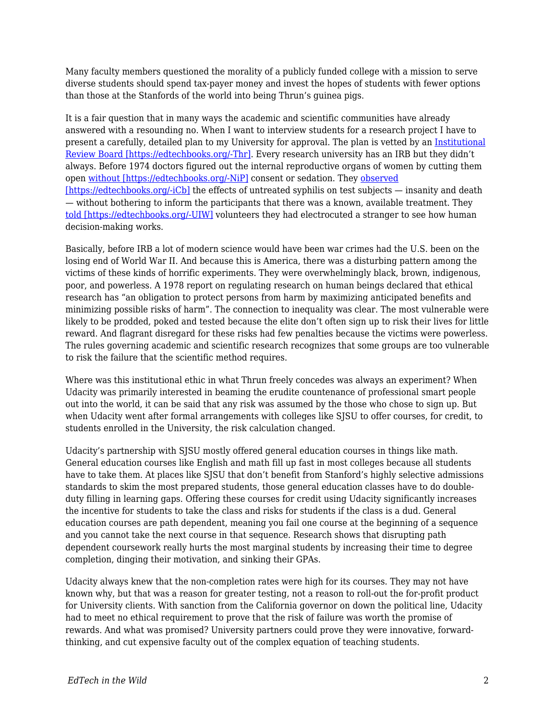Many faculty members questioned the morality of a publicly funded college with a mission to serve diverse students should spend tax-payer money and invest the hopes of students with fewer options than those at the Stanfords of the world into being Thrun's guinea pigs.

It is a fair question that in many ways the academic and scientific communities have already answered with a resounding no. When I want to interview students for a research project I have to present a carefully, detailed plan to my University for approval. The plan is vetted by an [Institutional](http://www.hhs.gov/ohrp/archive/irb/irb_introduction.htm#b1) [Review Board \[https://edtechbooks.org/-Thr\].](http://www.hhs.gov/ohrp/archive/irb/irb_introduction.htm#b1) Every research university has an IRB but they didn't always. Before 1974 doctors figured out the internal reproductive organs of women by cutting them open [without \[https://edtechbooks.org/-NiP\]](http://www.ncbi.nlm.nih.gov/pubmed/15180027) consent or sedation. They [observed](http://www.npr.org/programs/morning/features/2002/jul/tuskegee/) [\[https://edtechbooks.org/-iCb\]](http://www.npr.org/programs/morning/features/2002/jul/tuskegee/) the effects of untreated syphilis on test subjects — insanity and death — without bothering to inform the participants that there was a known, available treatment. They [told \[https://edtechbooks.org/-UIW\]](http://www.npr.org/2013/08/28/209559002/taking-a-closer-look-at-milgrams-shocking-obedience-study) volunteers they had electrocuted a stranger to see how human decision-making works.

Basically, before IRB a lot of modern science would have been war crimes had the U.S. been on the losing end of World War II. And because this is America, there was a disturbing pattern among the victims of these kinds of horrific experiments. They were overwhelmingly black, brown, indigenous, poor, and powerless. A 1978 report on regulating research on human beings declared that ethical research has "an obligation to protect persons from harm by maximizing anticipated benefits and minimizing possible risks of harm". The connection to inequality was clear. The most vulnerable were likely to be prodded, poked and tested because the elite don't often sign up to risk their lives for little reward. And flagrant disregard for these risks had few penalties because the victims were powerless. The rules governing academic and scientific research recognizes that some groups are too vulnerable to risk the failure that the scientific method requires.

Where was this institutional ethic in what Thrun freely concedes was always an experiment? When Udacity was primarily interested in beaming the erudite countenance of professional smart people out into the world, it can be said that any risk was assumed by the those who chose to sign up. But when Udacity went after formal arrangements with colleges like SJSU to offer courses, for credit, to students enrolled in the University, the risk calculation changed.

Udacity's partnership with SJSU mostly offered general education courses in things like math. General education courses like English and math fill up fast in most colleges because all students have to take them. At places like SJSU that don't benefit from Stanford's highly selective admissions standards to skim the most prepared students, those general education classes have to do doubleduty filling in learning gaps. Offering these courses for credit using Udacity significantly increases the incentive for students to take the class and risks for students if the class is a dud. General education courses are path dependent, meaning you fail one course at the beginning of a sequence and you cannot take the next course in that sequence. Research shows that disrupting path dependent coursework really hurts the most marginal students by increasing their time to degree completion, dinging their motivation, and sinking their GPAs.

Udacity always knew that the non-completion rates were high for its courses. They may not have known why, but that was a reason for greater testing, not a reason to roll-out the for-profit product for University clients. With sanction from the California governor on down the political line, Udacity had to meet no ethical requirement to prove that the risk of failure was worth the promise of rewards. And what was promised? University partners could prove they were innovative, forwardthinking, and cut expensive faculty out of the complex equation of teaching students.